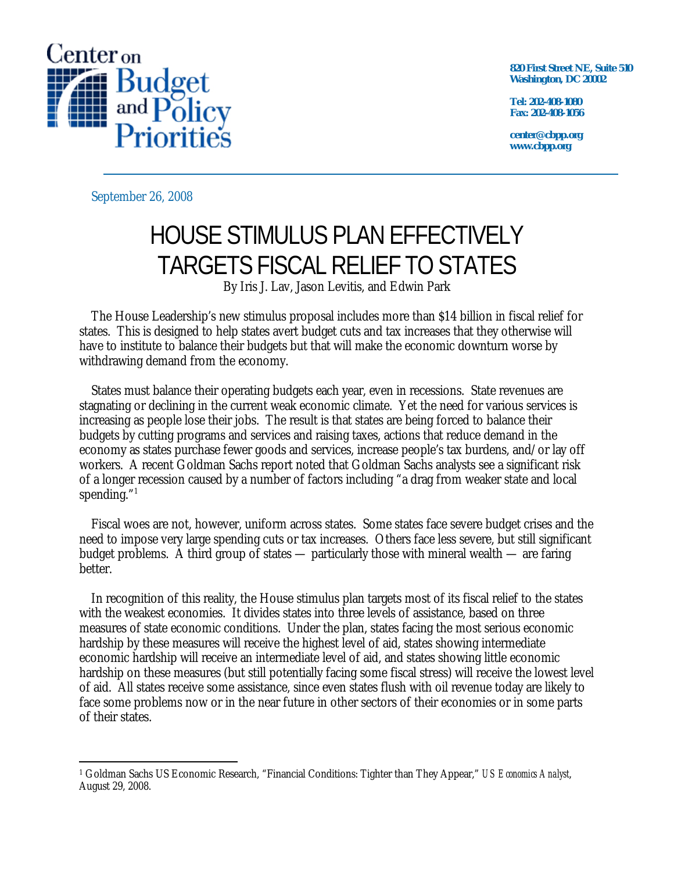

**820 First Street NE, Suite 510 Washington, DC 20002** 

**Tel: 202-408-1080 Fax: 202-408-1056** 

**center@cbpp.org www.cbpp.org** 

September 26, 2008

# HOUSE STIMULUS PLAN EFFECTIVELY TARGETS FISCAL RELIEF TO STATES

By Iris J. Lav, Jason Levitis, and Edwin Park

The House Leadership's new stimulus proposal includes more than \$14 billion in fiscal relief for states. This is designed to help states avert budget cuts and tax increases that they otherwise will have to institute to balance their budgets but that will make the economic downturn worse by withdrawing demand from the economy.

States must balance their operating budgets each year, even in recessions. State revenues are stagnating or declining in the current weak economic climate. Yet the need for various services is increasing as people lose their jobs. The result is that states are being forced to balance their budgets by cutting programs and services and raising taxes, actions that reduce demand in the economy as states purchase fewer goods and services, increase people's tax burdens, and/or lay off workers. A recent Goldman Sachs report noted that Goldman Sachs analysts see a significant risk of a longer recession caused by a number of factors including "a drag from weaker state and local spending." $^{\rm 1}$ 

Fiscal woes are not, however, uniform across states. Some states face severe budget crises and the need to impose very large spending cuts or tax increases. Others face less severe, but still significant budget problems. A third group of states — particularly those with mineral wealth — are faring better.

In recognition of this reality, the House stimulus plan targets most of its fiscal relief to the states with the weakest economies. It divides states into three levels of assistance, based on three measures of state economic conditions. Under the plan, states facing the most serious economic hardship by these measures will receive the highest level of aid, states showing intermediate economic hardship will receive an intermediate level of aid, and states showing little economic hardship on these measures (but still potentially facing some fiscal stress) will receive the lowest level of aid. All states receive some assistance, since even states flush with oil revenue today are likely to face some problems now or in the near future in other sectors of their economies or in some parts of their states.

<sup>-</sup>1 Goldman Sachs US Economic Research, "Financial Conditions: Tighter than They Appear," *US Economics Analyst*, August 29, 2008.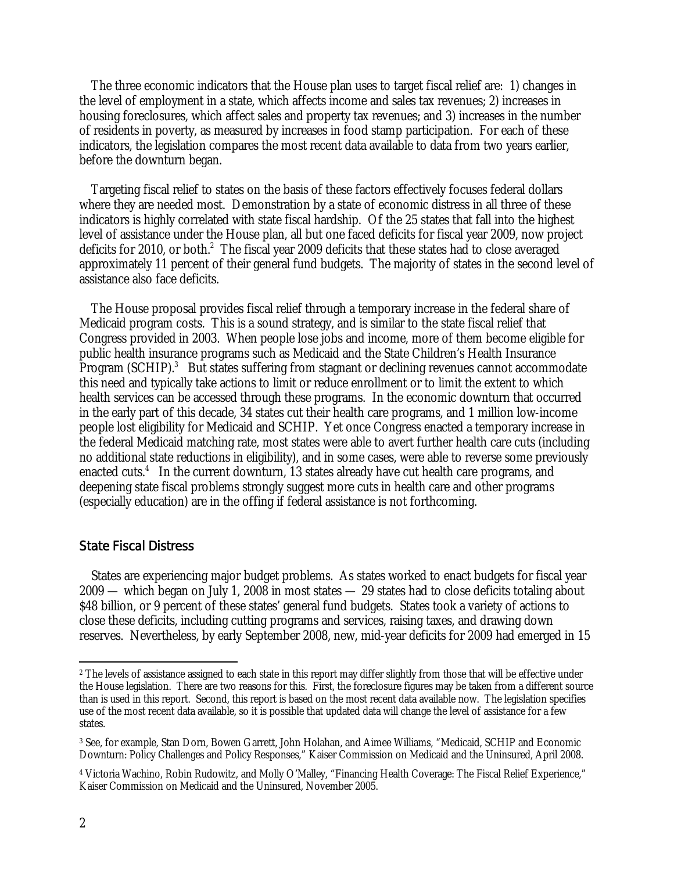The three economic indicators that the House plan uses to target fiscal relief are: 1) changes in the level of employment in a state, which affects income and sales tax revenues; 2) increases in housing foreclosures, which affect sales and property tax revenues; and 3) increases in the number of residents in poverty, as measured by increases in food stamp participation. For each of these indicators, the legislation compares the most recent data available to data from two years earlier, before the downturn began.

Targeting fiscal relief to states on the basis of these factors effectively focuses federal dollars where they are needed most. Demonstration by a state of economic distress in all three of these indicators is highly correlated with state fiscal hardship. Of the 25 states that fall into the highest level of assistance under the House plan, all but one faced deficits for fiscal year 2009, now project deficits for 2010, or both.<sup>2</sup> The fiscal year 2009 deficits that these states had to close averaged approximately 11 percent of their general fund budgets. The majority of states in the second level of assistance also face deficits.

The House proposal provides fiscal relief through a temporary increase in the federal share of Medicaid program costs. This is a sound strategy, and is similar to the state fiscal relief that Congress provided in 2003. When people lose jobs and income, more of them become eligible for public health insurance programs such as Medicaid and the State Children's Health Insurance Program (SCHIP).<sup>3</sup> But states suffering from stagnant or declining revenues cannot accommodate this need and typically take actions to limit or reduce enrollment or to limit the extent to which health services can be accessed through these programs. In the economic downturn that occurred in the early part of this decade, 34 states cut their health care programs, and 1 million low-income people lost eligibility for Medicaid and SCHIP. Yet once Congress enacted a temporary increase in the federal Medicaid matching rate, most states were able to avert further health care cuts (including no additional state reductions in eligibility), and in some cases, were able to reverse some previously enacted cuts.<sup>4</sup> In the current downturn, 13 states already have cut health care programs, and deepening state fiscal problems strongly suggest more cuts in health care and other programs (especially education) are in the offing if federal assistance is not forthcoming.

# State Fiscal Distress

 States are experiencing major budget problems. As states worked to enact budgets for fiscal year 2009 — which began on July 1, 2008 in most states — 29 states had to close deficits totaling about \$48 billion, or 9 percent of these states' general fund budgets. States took a variety of actions to close these deficits, including cutting programs and services, raising taxes, and drawing down reserves. Nevertheless, by early September 2008, new, mid-year deficits for 2009 had emerged in 15

 $\overline{a}$ 

<sup>&</sup>lt;sup>2</sup> The levels of assistance assigned to each state in this report may differ slightly from those that will be effective under the House legislation. There are two reasons for this. First, the foreclosure figures may be taken from a different source than is used in this report. Second, this report is based on the most recent data available now. The legislation specifies use of the most recent data available, so it is possible that updated data will change the level of assistance for a few states.

<sup>3</sup> See, for example, Stan Dorn, Bowen Garrett, John Holahan, and Aimee Williams, "Medicaid, SCHIP and Economic Downturn: Policy Challenges and Policy Responses," Kaiser Commission on Medicaid and the Uninsured, April 2008.

<sup>4</sup> Victoria Wachino, Robin Rudowitz, and Molly O'Malley, "Financing Health Coverage: The Fiscal Relief Experience," Kaiser Commission on Medicaid and the Uninsured, November 2005.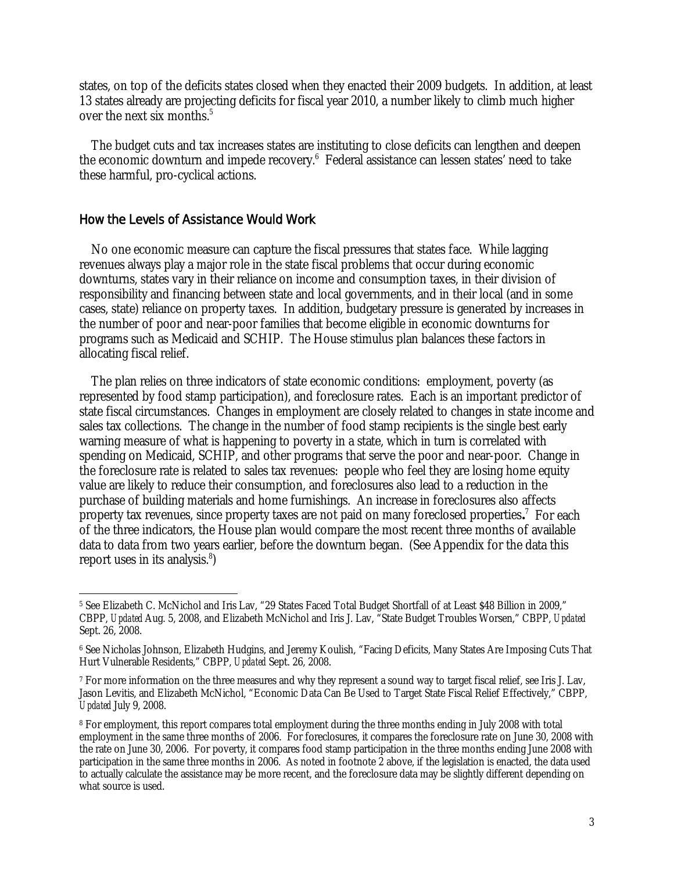states, on top of the deficits states closed when they enacted their 2009 budgets. In addition, at least 13 states already are projecting deficits for fiscal year 2010, a number likely to climb much higher over the next six months.<sup>5</sup>

 The budget cuts and tax increases states are instituting to close deficits can lengthen and deepen the economic downturn and impede recovery.<sup>6</sup> Federal assistance can lessen states' need to take these harmful, pro-cyclical actions.

### How the Levels of Assistance Would Work

No one economic measure can capture the fiscal pressures that states face. While lagging revenues always play a major role in the state fiscal problems that occur during economic downturns, states vary in their reliance on income and consumption taxes, in their division of responsibility and financing between state and local governments, and in their local (and in some cases, state) reliance on property taxes. In addition, budgetary pressure is generated by increases in the number of poor and near-poor families that become eligible in economic downturns for programs such as Medicaid and SCHIP. The House stimulus plan balances these factors in allocating fiscal relief.

The plan relies on three indicators of state economic conditions: employment, poverty (as represented by food stamp participation), and foreclosure rates. Each is an important predictor of state fiscal circumstances. Changes in employment are closely related to changes in state income and sales tax collections. The change in the number of food stamp recipients is the single best early warning measure of what is happening to poverty in a state, which in turn is correlated with spending on Medicaid, SCHIP, and other programs that serve the poor and near-poor. Change in the foreclosure rate is related to sales tax revenues: people who feel they are losing home equity value are likely to reduce their consumption, and foreclosures also lead to a reduction in the purchase of building materials and home furnishings. An increase in foreclosures also affects property tax revenues, since property taxes are not paid on many foreclosed properties**.** 7 For each of the three indicators, the House plan would compare the most recent three months of available data to data from two years earlier, before the downturn began. (See Appendix for the data this report uses in its analysis.<sup>8</sup>)

 $\overline{a}$ 5 See Elizabeth C. McNichol and Iris Lav, "29 States Faced Total Budget Shortfall of at Least \$48 Billion in 2009," CBPP, *Updated* Aug. 5, 2008, and Elizabeth McNichol and Iris J. Lav, "State Budget Troubles Worsen," CBPP, *Updated* Sept. 26, 2008.

<sup>6</sup> See Nicholas Johnson, Elizabeth Hudgins, and Jeremy Koulish, "Facing Deficits, Many States Are Imposing Cuts That Hurt Vulnerable Residents," CBPP, *Updated* Sept. 26, 2008.

<sup>7</sup> For more information on the three measures and why they represent a sound way to target fiscal relief, see Iris J. Lav, Jason Levitis, and Elizabeth McNichol, "Economic Data Can Be Used to Target State Fiscal Relief Effectively," CBPP, *Updated* July 9, 2008.

<sup>8</sup> For employment, this report compares total employment during the three months ending in July 2008 with total employment in the same three months of 2006. For foreclosures, it compares the foreclosure rate on June 30, 2008 with the rate on June 30, 2006. For poverty, it compares food stamp participation in the three months ending June 2008 with participation in the same three months in 2006. As noted in footnote 2 above, if the legislation is enacted, the data used to actually calculate the assistance may be more recent, and the foreclosure data may be slightly different depending on what source is used.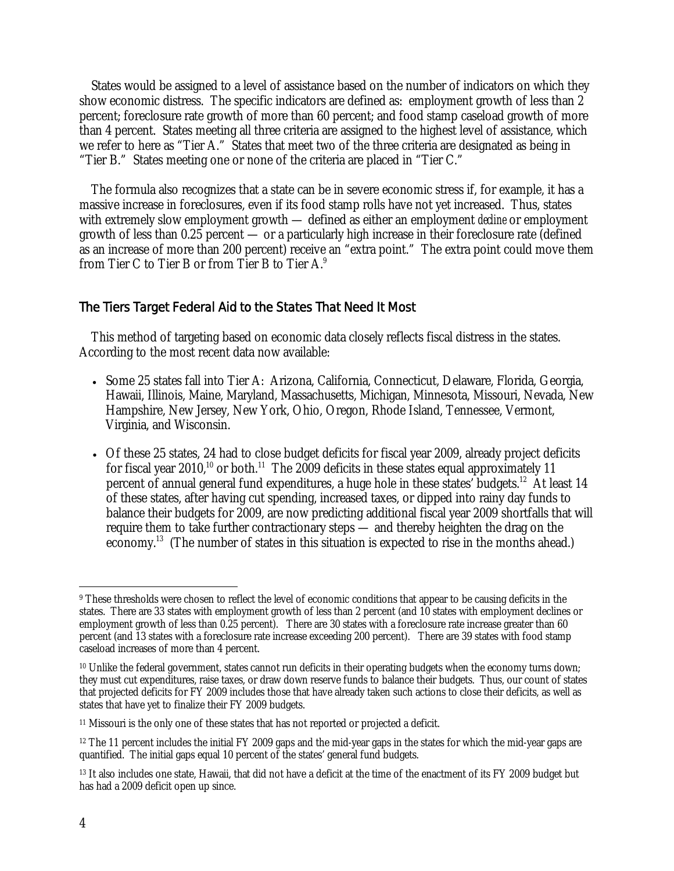States would be assigned to a level of assistance based on the number of indicators on which they show economic distress. The specific indicators are defined as: employment growth of less than 2 percent; foreclosure rate growth of more than 60 percent; and food stamp caseload growth of more than 4 percent. States meeting all three criteria are assigned to the highest level of assistance, which we refer to here as "Tier A." States that meet two of the three criteria are designated as being in "Tier B." States meeting one or none of the criteria are placed in "Tier C."

The formula also recognizes that a state can be in severe economic stress if, for example, it has a massive increase in foreclosures, even if its food stamp rolls have not yet increased. Thus, states with extremely slow employment growth — defined as either an employment *decline* or employment growth of less than 0.25 percent — or a particularly high increase in their foreclosure rate (defined as an increase of more than 200 percent) receive an "extra point." The extra point could move them from Tier C to Tier B or from Tier B to Tier A.9

# The Tiers Target Federal Aid to the States That Need It Most

 This method of targeting based on economic data closely reflects fiscal distress in the states. According to the most recent data now available:

- Some 25 states fall into Tier A: Arizona, California, Connecticut, Delaware, Florida, Georgia, Hawaii, Illinois, Maine, Maryland, Massachusetts, Michigan, Minnesota, Missouri, Nevada, New Hampshire, New Jersey, New York, Ohio, Oregon, Rhode Island, Tennessee, Vermont, Virginia, and Wisconsin.
- Of these 25 states, 24 had to close budget deficits for fiscal year 2009, already project deficits for fiscal year 2010,<sup>10</sup> or both.<sup>11</sup> The 2009 deficits in these states equal approximately 11 percent of annual general fund expenditures, a huge hole in these states' budgets.<sup>12</sup> At least 14 of these states, after having cut spending, increased taxes, or dipped into rainy day funds to balance their budgets for 2009, are now predicting additional fiscal year 2009 shortfalls that will require them to take further contractionary steps — and thereby heighten the drag on the economy.<sup>13</sup> (The number of states in this situation is expected to rise in the months ahead.)

 $\overline{a}$ 

<sup>&</sup>lt;sup>9</sup> These thresholds were chosen to reflect the level of economic conditions that appear to be causing deficits in the states. There are 33 states with employment growth of less than 2 percent (and 10 states with employment declines or employment growth of less than 0.25 percent). There are 30 states with a foreclosure rate increase greater than 60 percent (and 13 states with a foreclosure rate increase exceeding 200 percent). There are 39 states with food stamp caseload increases of more than 4 percent.

<sup>&</sup>lt;sup>10</sup> Unlike the federal government, states cannot run deficits in their operating budgets when the economy turns down; they must cut expenditures, raise taxes, or draw down reserve funds to balance their budgets. Thus, our count of states that projected deficits for FY 2009 includes those that have already taken such actions to close their deficits, as well as states that have yet to finalize their FY 2009 budgets.

<sup>&</sup>lt;sup>11</sup> Missouri is the only one of these states that has not reported or projected a deficit.

<sup>&</sup>lt;sup>12</sup> The 11 percent includes the initial FY 2009 gaps and the mid-year gaps in the states for which the mid-year gaps are quantified. The initial gaps equal 10 percent of the states' general fund budgets.

<sup>&</sup>lt;sup>13</sup> It also includes one state, Hawaii, that did not have a deficit at the time of the enactment of its FY 2009 budget but has had a 2009 deficit open up since.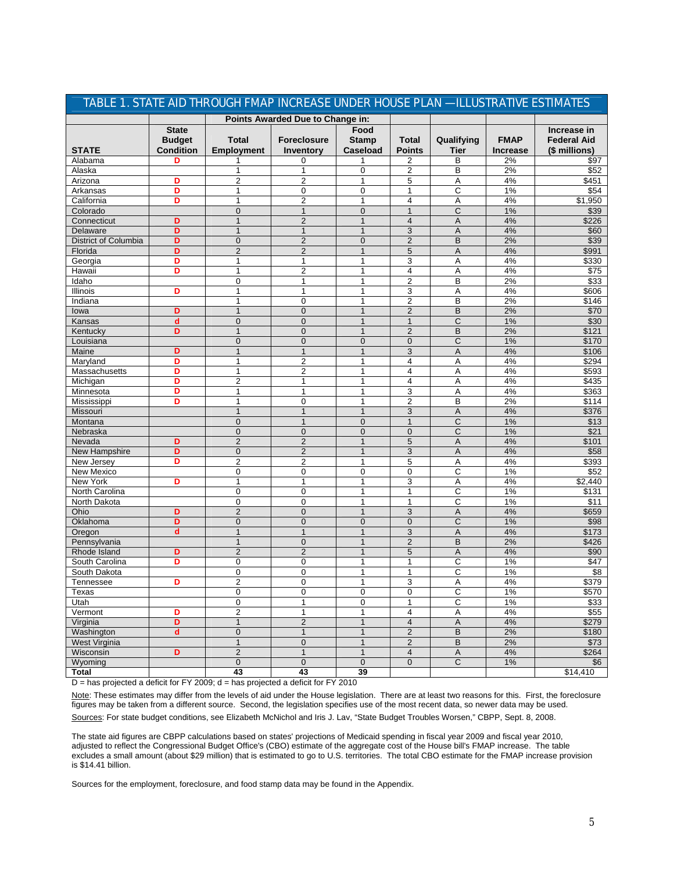|                                  |                                                   | TABLE 1. STATE AID THROUGH FMAP INCREASE UNDER HOUSE PLAN - ILLUSTRATIVE ESTIMATES |                                        |                                  |                         |                           |                                |                                                    |
|----------------------------------|---------------------------------------------------|------------------------------------------------------------------------------------|----------------------------------------|----------------------------------|-------------------------|---------------------------|--------------------------------|----------------------------------------------------|
| Points Awarded Due to Change in: |                                                   |                                                                                    |                                        |                                  |                         |                           |                                |                                                    |
| <b>STATE</b>                     | <b>State</b><br><b>Budget</b><br><b>Condition</b> | <b>Total</b><br><b>Employment</b>                                                  | <b>Foreclosure</b><br><b>Inventory</b> | Food<br><b>Stamp</b><br>Caseload | Total<br><b>Points</b>  | Qualifying<br><b>Tier</b> | <b>FMAP</b><br><b>Increase</b> | Increase in<br><b>Federal Aid</b><br>(\$ millions) |
| Alabama                          | D                                                 | 1                                                                                  | 0                                      | 1                                | 2                       | B                         | 2%                             | \$97                                               |
| Alaska                           |                                                   | 1                                                                                  | $\mathbf{1}$                           | 0                                | 2                       | В                         | 2%                             | \$52                                               |
| Arizona                          | D                                                 | 2                                                                                  | $\overline{2}$                         | $\mathbf{1}$                     | 5                       | Α                         | 4%                             | \$451                                              |
| Arkansas                         | D                                                 | $\mathbf{1}$                                                                       | 0                                      | 0                                | $\mathbf{1}$            | С                         | 1%                             | \$54                                               |
| California                       | D                                                 | $\mathbf{1}$                                                                       | $\overline{2}$                         | $\mathbf{1}$                     | 4                       | Α                         | 4%                             | \$1,950                                            |
| Colorado                         |                                                   | $\mathbf{0}$                                                                       | $\mathbf{1}$                           | $\mathbf{0}$                     | $\mathbf{1}$            | C                         | 1%                             | \$39                                               |
| Connecticut                      | D                                                 | $\mathbf{1}$                                                                       | $\overline{2}$                         | $\mathbf{1}$                     | $\overline{4}$          | A                         | 4%                             | \$226                                              |
| Delaware                         | D                                                 | 1                                                                                  | $\mathbf{1}$                           | $\mathbf{1}$                     | 3                       | A                         | 4%                             | \$60                                               |
| District of Columbia             | D                                                 | $\mathbf{0}$                                                                       | $\overline{2}$                         | $\mathbf{0}$                     | $\overline{2}$          | B                         | 2%                             | \$39                                               |
| Florida                          | D                                                 | $\overline{2}$                                                                     | $\overline{2}$                         | $\mathbf{1}$                     | 5                       | A                         | 4%                             | \$991                                              |
| Georgia                          | D                                                 | $\mathbf{1}$                                                                       | $\mathbf{1}$                           | $\mathbf{1}$                     | 3                       | Α                         | 4%                             | \$330                                              |
| Hawaii                           | D                                                 | 1                                                                                  | $\overline{c}$                         | $\mathbf{1}$                     | 4                       | Α                         | 4%                             | \$75                                               |
| Idaho                            |                                                   | $\mathbf 0$                                                                        | $\mathbf{1}$                           | $\mathbf{1}$                     | $\overline{c}$          | B                         | 2%                             | \$33                                               |
| Illinois                         | D                                                 | 1                                                                                  | 1                                      | 1                                | 3                       | Α                         | 4%                             | \$606                                              |
| Indiana                          |                                                   | 1                                                                                  | $\mathbf 0$                            | 1                                | $\overline{c}$          | B                         | 2%                             | \$146                                              |
| lowa                             | D                                                 | $\mathbf{1}$                                                                       | $\overline{0}$                         | $\mathbf{1}$                     | $\overline{2}$          | B                         | 2%                             | \$70                                               |
| Kansas                           | $\mathbf d$                                       | $\mathbf{0}$<br>$\mathbf{1}$                                                       | $\overline{0}$                         | $\mathbf{1}$                     | $\mathbf{1}$            | $\overline{C}$<br>B       | 1%                             | \$30                                               |
| Kentucky                         | D                                                 |                                                                                    | $\overline{0}$                         | $\mathbf{1}$                     | $\overline{2}$          |                           | 2%<br>1%                       | \$121                                              |
| Louisiana<br>Maine               | D                                                 | $\mathbf{0}$<br>1                                                                  | $\mathbf{0}$<br>$\mathbf{1}$           | $\mathbf{0}$<br>$\mathbf{1}$     | $\overline{0}$<br>3     | C<br>A                    | 4%                             | \$170<br>\$106                                     |
| Maryland                         | D                                                 | 1                                                                                  | $\overline{c}$                         |                                  | 4                       | Α                         | 4%                             | \$294                                              |
|                                  | D                                                 | 1                                                                                  | $\overline{c}$                         | 1                                | 4                       | A                         | 4%                             | \$593                                              |
| Massachusetts<br>Michigan        | D                                                 | $\overline{2}$                                                                     | 1                                      | 1                                | 4                       | A                         | 4%                             | \$435                                              |
| Minnesota                        | D                                                 | 1                                                                                  | 1                                      | 1                                | 3                       | A                         | 4%                             | \$363                                              |
| Mississippi                      | D                                                 | 1                                                                                  | 0                                      | 1                                | 2                       | B                         | 2%                             | \$114                                              |
| Missouri                         |                                                   | $\mathbf{1}$                                                                       | $\mathbf{1}$                           | $\mathbf{1}$                     | 3                       | A                         | 4%                             | \$376                                              |
| Montana                          |                                                   | $\mathbf 0$                                                                        | $\mathbf{1}$                           | $\mathbf{0}$                     | $\mathbf{1}$            | C                         | 1%                             | \$13                                               |
| Nebraska                         |                                                   | $\mathbf 0$                                                                        | $\mathbf 0$                            | $\mathbf{0}$                     | $\mathbf{0}$            | C                         | 1%                             | \$21                                               |
| Nevada                           | D                                                 | $\overline{2}$                                                                     | $\overline{2}$                         | $\mathbf{1}$                     | 5                       | A                         | 4%                             | \$101                                              |
| New Hampshire                    | D                                                 | $\mathbf 0$                                                                        | $\overline{2}$                         | $\mathbf{1}$                     | 3                       | A                         | 4%                             | \$58                                               |
| New Jersey                       | D                                                 | $\overline{2}$                                                                     | $\overline{2}$                         | 1                                | 5                       | Α                         | 4%                             | \$393                                              |
| New Mexico                       |                                                   | $\mathbf 0$                                                                        | $\mathbf 0$                            | 0                                | 0                       | C                         | 1%                             | \$52                                               |
| New York                         | D                                                 | 1                                                                                  | 1                                      | $\mathbf{1}$                     | 3                       | Α                         | 4%                             | \$2,440                                            |
| North Carolina                   |                                                   | $\mathbf 0$                                                                        | $\mathbf 0$                            | $\mathbf{1}$                     | $\mathbf{1}$            | C                         | 1%                             | \$131                                              |
| North Dakota                     |                                                   | $\mathbf 0$                                                                        | $\mathbf 0$                            | $\mathbf{1}$                     | 1                       | C                         | 1%                             | \$11                                               |
| Ohio                             | D                                                 | $\overline{2}$                                                                     | $\mathbf 0$                            | $\mathbf{1}$                     | 3                       | A                         | 4%                             | \$659                                              |
| Oklahoma                         | D                                                 | $\mathbf 0$                                                                        | $\mathbf 0$                            | $\mathbf 0$                      | $\mathbf 0$             | C                         | 1%                             | \$98                                               |
| Oregon                           | $\mathbf d$                                       | $\mathbf{1}$                                                                       | $\mathbf{1}$                           | $\mathbf{1}$                     | 3                       | A                         | 4%                             | \$173                                              |
| Pennsylvania                     |                                                   | $\mathbf{1}$                                                                       | $\mathbf 0$                            | $\mathbf{1}$                     | $\overline{c}$          | B                         | 2%                             | \$426                                              |
| Rhode Island                     | D                                                 | $\overline{2}$                                                                     | $\overline{2}$                         | $\mathbf{1}$                     | 5                       | A                         | 4%                             | \$90                                               |
| South Carolina                   | D                                                 | $\mathbf 0$                                                                        | $\mathbf 0$                            | $\mathbf{1}$                     | 1                       | C                         | 1%                             | \$47                                               |
| South Dakota                     |                                                   | $\mathbf 0$                                                                        | $\mathbf 0$                            | $\mathbf{1}$                     | 1                       | C                         | 1%                             | $\overline{\$8}$                                   |
| Tennessee                        | D                                                 | $\overline{2}$                                                                     | $\mathbf 0$                            | $\mathbf{1}$                     | 3                       | Α                         | 4%                             | \$379                                              |
| Texas                            |                                                   | 0                                                                                  | 0                                      | 0                                | 0                       | $\overline{\mathsf{C}}$   | 1%                             | \$570                                              |
| Utah                             |                                                   | $\mathbf 0$                                                                        | 1                                      | 0                                | 1                       | C                         | 1%                             | \$33                                               |
| Vermont                          | D                                                 | $\overline{c}$                                                                     | $\mathbf{1}$                           | $\mathbf{1}$                     | 4                       | Α                         | 4%                             | \$55                                               |
| Virginia                         | D                                                 | $\mathbf{1}$                                                                       | $\overline{2}$                         | $\mathbf{1}$                     | $\overline{\mathbf{4}}$ | A                         | 4%                             | \$279                                              |
| Washington                       | d                                                 | $\pmb{0}$                                                                          | $\overline{1}$                         | $\mathbf{1}$                     | $\overline{2}$          | B                         | 2%                             | \$180                                              |
| West Virginia                    |                                                   | $\mathbf{1}$                                                                       | $\mathsf{O}\xspace$                    | $\mathbf{1}$                     | $\overline{2}$          | B                         | 2%                             | \$73                                               |
| Wisconsin                        | D                                                 | $\sqrt{2}$                                                                         | $\mathbf{1}$                           | $\mathbf{1}$                     | $\overline{4}$          | $\overline{A}$            | 4%                             | \$264                                              |
| Wyoming                          |                                                   | $\mathsf{O}\xspace$                                                                | $\mathbf 0$                            | $\mathbf 0$                      | $\mathbf 0$             | $\overline{C}$            | 1%                             | \$6                                                |
| <b>Total</b>                     |                                                   | 43                                                                                 | 43                                     | 39                               |                         |                           |                                | \$14,410                                           |

 $D =$  has projected a deficit for FY 2009; d = has projected a deficit for FY 2010

Note: These estimates may differ from the levels of aid under the House legislation. There are at least two reasons for this. First, the foreclosure figures may be taken from a different source. Second, the legislation specifies use of the most recent data, so newer data may be used. Sources: For state budget conditions, see Elizabeth McNichol and Iris J. Lav, "State Budget Troubles Worsen," CBPP, Sept. 8, 2008.

The state aid figures are CBPP calculations based on states' projections of Medicaid spending in fiscal year 2009 and fiscal year 2010, adjusted to reflect the Congressional Budget Office's (CBO) estimate of the aggregate cost of the House bill's FMAP increase. The table excludes a small amount (about \$29 million) that is estimated to go to U.S. territories. The total CBO estimate for the FMAP increase provision is \$14.41 billion.

Sources for the employment, foreclosure, and food stamp data may be found in the Appendix.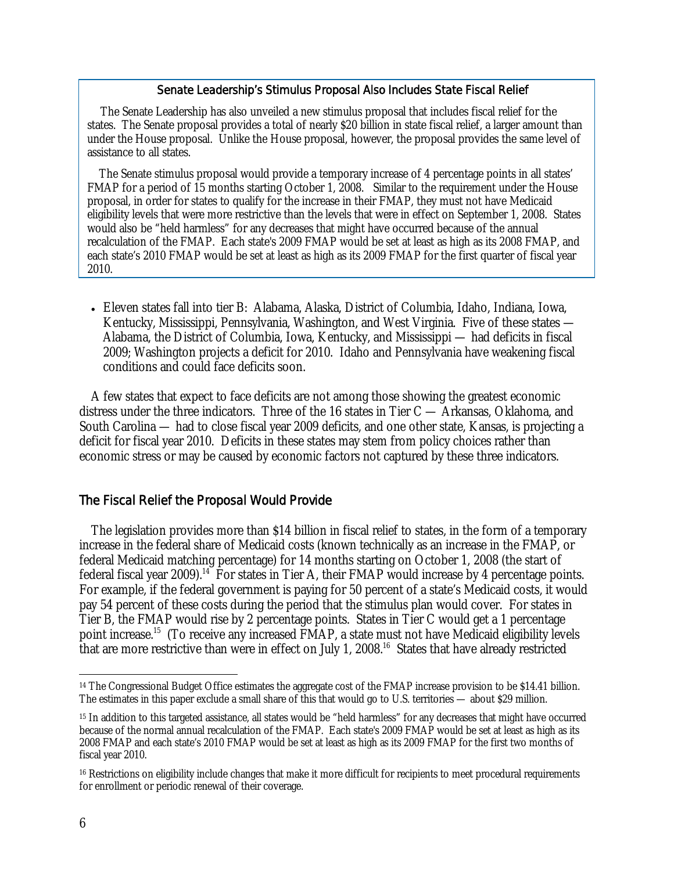#### Senate Leadership's Stimulus Proposal Also Includes State Fiscal Relief

 The Senate Leadership has also unveiled a new stimulus proposal that includes fiscal relief for the states. The Senate proposal provides a total of nearly \$20 billion in state fiscal relief, a larger amount than under the House proposal. Unlike the House proposal, however, the proposal provides the same level of assistance to all states.

The Senate stimulus proposal would provide a temporary increase of 4 percentage points in all states' FMAP for a period of 15 months starting October 1, 2008. Similar to the requirement under the House proposal, in order for states to qualify for the increase in their FMAP, they must not have Medicaid eligibility levels that were more restrictive than the levels that were in effect on September 1, 2008. States would also be "held harmless" for any decreases that might have occurred because of the annual recalculation of the FMAP. Each state's 2009 FMAP would be set at least as high as its 2008 FMAP, and each state's 2010 FMAP would be set at least as high as its 2009 FMAP for the first quarter of fiscal year 2010.

• Eleven states fall into tier B: Alabama, Alaska, District of Columbia, Idaho, Indiana, Iowa, Kentucky, Mississippi, Pennsylvania, Washington, and West Virginia. Five of these states — Alabama, the District of Columbia, Iowa, Kentucky, and Mississippi — had deficits in fiscal 2009; Washington projects a deficit for 2010. Idaho and Pennsylvania have weakening fiscal conditions and could face deficits soon.

A few states that expect to face deficits are not among those showing the greatest economic distress under the three indicators. Three of the 16 states in Tier C — Arkansas, Oklahoma, and South Carolina — had to close fiscal year 2009 deficits, and one other state, Kansas, is projecting a deficit for fiscal year 2010. Deficits in these states may stem from policy choices rather than economic stress or may be caused by economic factors not captured by these three indicators.

# The Fiscal Relief the Proposal Would Provide

The legislation provides more than \$14 billion in fiscal relief to states, in the form of a temporary increase in the federal share of Medicaid costs (known technically as an increase in the FMAP, or federal Medicaid matching percentage) for 14 months starting on October 1, 2008 (the start of federal fiscal year 2009).14 For states in Tier A, their FMAP would increase by 4 percentage points. For example, if the federal government is paying for 50 percent of a state's Medicaid costs, it would pay 54 percent of these costs during the period that the stimulus plan would cover. For states in Tier B, the FMAP would rise by 2 percentage points. States in Tier C would get a 1 percentage point increase.<sup>15</sup> (To receive any increased FMAP, a state must not have Medicaid eligibility levels that are more restrictive than were in effect on July 1, 2008.<sup>16</sup> States that have already restricted

-

<sup>&</sup>lt;sup>14</sup> The Congressional Budget Office estimates the aggregate cost of the FMAP increase provision to be \$14.41 billion. The estimates in this paper exclude a small share of this that would go to U.S. territories — about \$29 million.

<sup>15</sup> In addition to this targeted assistance, all states would be "held harmless" for any decreases that might have occurred because of the normal annual recalculation of the FMAP. Each state's 2009 FMAP would be set at least as high as its 2008 FMAP and each state's 2010 FMAP would be set at least as high as its 2009 FMAP for the first two months of fiscal year 2010.

<sup>&</sup>lt;sup>16</sup> Restrictions on eligibility include changes that make it more difficult for recipients to meet procedural requirements for enrollment or periodic renewal of their coverage.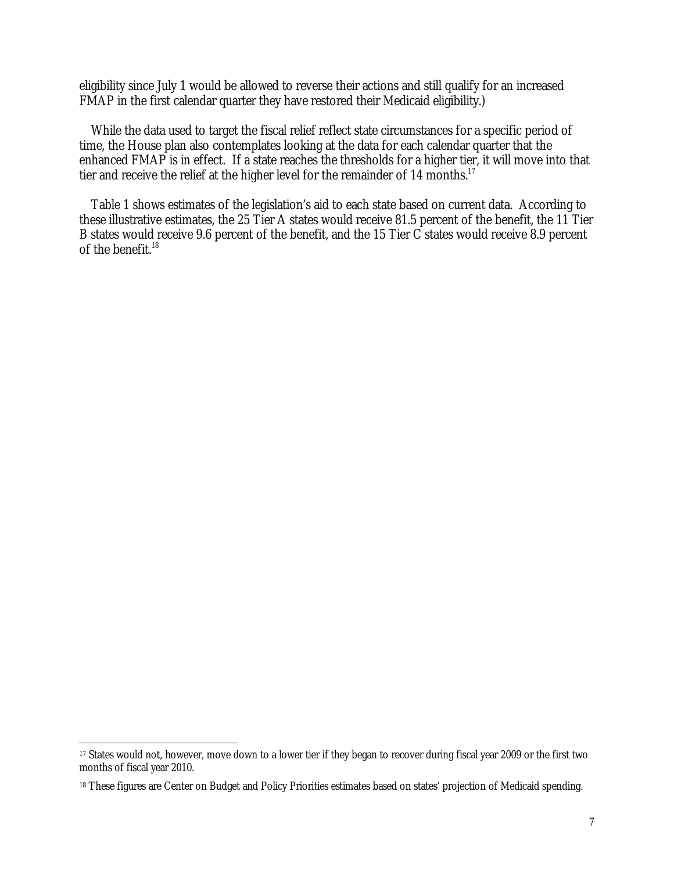eligibility since July 1 would be allowed to reverse their actions and still qualify for an increased FMAP in the first calendar quarter they have restored their Medicaid eligibility.)

While the data used to target the fiscal relief reflect state circumstances for a specific period of time, the House plan also contemplates looking at the data for each calendar quarter that the enhanced FMAP is in effect. If a state reaches the thresholds for a higher tier, it will move into that tier and receive the relief at the higher level for the remainder of 14 months.<sup>17</sup>

Table 1 shows estimates of the legislation's aid to each state based on current data. According to these illustrative estimates, the 25 Tier A states would receive 81.5 percent of the benefit, the 11 Tier B states would receive 9.6 percent of the benefit, and the 15 Tier C states would receive 8.9 percent of the benefit.<sup>18</sup>

 $\overline{a}$ 

<sup>&</sup>lt;sup>17</sup> States would not, however, move down to a lower tier if they began to recover during fiscal year 2009 or the first two months of fiscal year 2010.

<sup>&</sup>lt;sup>18</sup> These figures are Center on Budget and Policy Priorities estimates based on states' projection of Medicaid spending.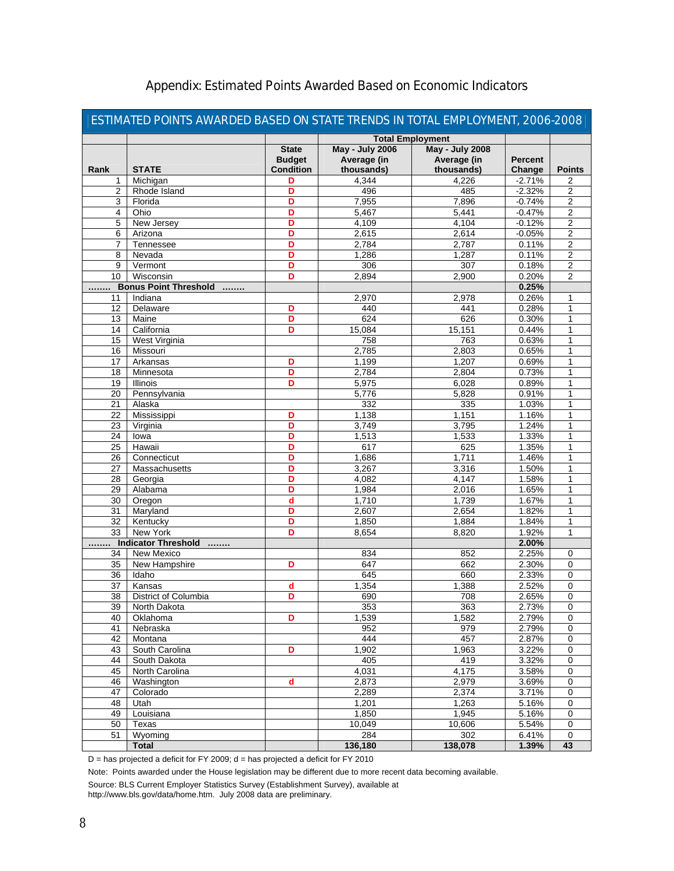| ESTIMATED POINTS AWARDED BASED ON STATE TRENDS IN TOTAL EMPLOYMENT, 2006-2008 |                               |                  |                         |                        |                |                |  |
|-------------------------------------------------------------------------------|-------------------------------|------------------|-------------------------|------------------------|----------------|----------------|--|
|                                                                               |                               |                  | <b>Total Employment</b> |                        |                |                |  |
|                                                                               |                               | <b>State</b>     | <b>May - July 2006</b>  | <b>May - July 2008</b> |                |                |  |
|                                                                               |                               | <b>Budget</b>    | Average (in             | Average (in            | <b>Percent</b> |                |  |
| Rank                                                                          | <b>STATE</b>                  | <b>Condition</b> | thousands)              | thousands)             | Change         | <b>Points</b>  |  |
| 1                                                                             | Michigan                      | D                | 4,344                   | 4.226                  | $-2.71%$       | 2              |  |
| 2                                                                             | Rhode Island                  | D                | 496                     | 485                    | $-2.32%$       | 2              |  |
| 3                                                                             | Florida                       | D                | 7,955                   | 7,896                  | $-0.74%$       | 2              |  |
| 4                                                                             | Ohio                          | D                | 5,467                   | 5,441                  | $-0.47%$       | $\overline{c}$ |  |
| 5                                                                             | New Jersey                    | D                | 4,109                   | 4,104                  | $-0.12%$       | 2              |  |
| 6                                                                             | Arizona                       | D                | 2,615                   | 2,614                  | $-0.05%$       | 2              |  |
| 7                                                                             | Tennessee                     | D                | 2,784                   | 2,787                  | 0.11%          | 2              |  |
| 8                                                                             | Nevada                        | D                | 1,286                   | 1,287                  | 0.11%          | $\overline{2}$ |  |
| 9                                                                             | Vermont                       | D                | 306                     | 307                    | 0.18%          | 2              |  |
| 10                                                                            | Wisconsin                     | D                | 2,894                   | 2,900                  | 0.20%          | $\overline{2}$ |  |
| .                                                                             | <b>Bonus Point Threshold </b> |                  |                         |                        | 0.25%          |                |  |
| 11                                                                            | Indiana                       |                  | 2,970                   | 2,978                  | 0.26%          | 1              |  |
| 12                                                                            | Delaware                      | D                | 440                     | 441                    | 0.28%          | 1              |  |
| 13                                                                            | Maine                         | D                | 624                     | 626                    | 0.30%          | 1              |  |
| 14                                                                            | California                    | D                | 15,084                  | 15,151                 | 0.44%          | 1              |  |
| 15                                                                            | West Virginia                 |                  | 758                     | 763                    | 0.63%          | 1              |  |
| 16                                                                            | Missouri                      |                  | 2,785                   | 2,803                  | 0.65%          | 1              |  |
| 17                                                                            | Arkansas                      | D                | 1,199                   | 1,207                  | 0.69%          | 1              |  |
| 18                                                                            | Minnesota                     | D                | 2,784                   | 2,804                  | 0.73%          | 1              |  |
| 19                                                                            | Illinois                      | D                | 5,975                   | 6,028                  | 0.89%          | 1              |  |
| 20                                                                            | Pennsylvania                  |                  | 5,776                   | 5,828                  | 0.91%          | 1              |  |
| 21                                                                            | Alaska                        |                  | 332                     | 335                    | 1.03%          | 1              |  |
| 22                                                                            | Mississippi                   | D                | 1,138                   | 1,151                  | 1.16%          | 1              |  |
| 23                                                                            | Virginia                      | D                | 3,749                   | 3,795                  | 1.24%          | 1              |  |
| 24                                                                            | lowa                          | D                | 1,513                   | 1,533                  | 1.33%          | 1              |  |
| 25                                                                            | Hawaii                        | D                | 617                     | 625                    | 1.35%          | 1              |  |
| 26                                                                            | Connecticut                   | D                | 1,686                   | 1,711                  | 1.46%          | 1              |  |
| 27                                                                            | Massachusetts                 | D                | 3,267                   | 3,316                  | 1.50%          | 1              |  |
| 28                                                                            | Georgia                       | D                | 4,082                   | 4,147                  | 1.58%          | 1              |  |
| 29                                                                            | Alabama                       | D                | 1,984                   | 2,016                  | 1.65%          | 1              |  |
| 30                                                                            | Oregon                        | d                | 1,710                   | 1,739                  | 1.67%          | 1              |  |
| 31                                                                            | Maryland                      | D                | 2,607                   | 2,654                  | 1.82%          | 1              |  |
| 32                                                                            | Kentucky                      | D                | 1,850                   | 1,884                  | 1.84%          | 1              |  |
| $\overline{33}$                                                               | New York                      | D                | 8,654                   | 8,820                  | 1.92%          | 1              |  |
|                                                                               | Indicator Threshold           |                  |                         |                        | 2.00%          |                |  |
| 34                                                                            | New Mexico                    |                  | 834                     | 852                    | 2.25%          | 0              |  |
| 35                                                                            | New Hampshire                 | D                | 647                     | 662                    | 2.30%          | 0              |  |
| 36                                                                            | Idaho                         |                  | 645                     | 660                    | 2.33%          | 0              |  |
| 37                                                                            | Kansas                        | d                | 1,354                   | 1,388                  | 2.52%          | 0              |  |
| 38                                                                            | District of Columbia          | D                | 690                     | 708                    | 2.65%          | 0              |  |
|                                                                               |                               |                  |                         |                        |                |                |  |
| 39<br>40                                                                      | North Dakota<br>Oklahoma      | D                | 353<br>1,539            | 363<br>1,582           | 2.73%<br>2.79% | 0<br>0         |  |
| 41                                                                            | Nebraska                      |                  | 952                     | 979                    | 2.79%          | 0              |  |
| 42                                                                            | Montana                       |                  | 444                     | 457                    | 2.87%          | 0              |  |
| 43                                                                            |                               |                  | 1,902                   |                        |                |                |  |
|                                                                               | South Carolina                | D                |                         | 1,963                  | 3.22%          | 0              |  |
| 44                                                                            | South Dakota                  |                  | 405<br>4,031            | 419                    | 3.32%          | 0              |  |
| 45                                                                            | North Carolina                |                  |                         | 4,175                  | 3.58%          | 0              |  |
| 46                                                                            | Washington                    | d                | 2,873                   | 2,979                  | 3.69%          | 0              |  |
| 47                                                                            | Colorado                      |                  | 2,289                   | 2,374                  | 3.71%          | 0              |  |
| 48                                                                            | Utah                          |                  | 1,201                   | 1,263                  | 5.16%          | 0              |  |
| 49                                                                            | Louisiana                     |                  | 1,850                   | 1,945                  | 5.16%          | 0              |  |
| 50                                                                            | Texas                         |                  | 10,049                  | 10,606                 | 5.54%          | 0              |  |
| 51                                                                            | Wyoming                       |                  | 284                     | 302                    | 6.41%          | 0              |  |
|                                                                               | <b>Total</b>                  |                  | 136,180                 | 138,078                | 1.39%          | 43             |  |

# Appendix: Estimated Points Awarded Based on Economic Indicators

D = has projected a deficit for FY 2009; d = has projected a deficit for FY 2010

Note: Points awarded under the House legislation may be different due to more recent data becoming available.

Source: BLS Current Employer Statistics Survey (Establishment Survey), available at

http://www.bls.gov/data/home.htm. July 2008 data are preliminary.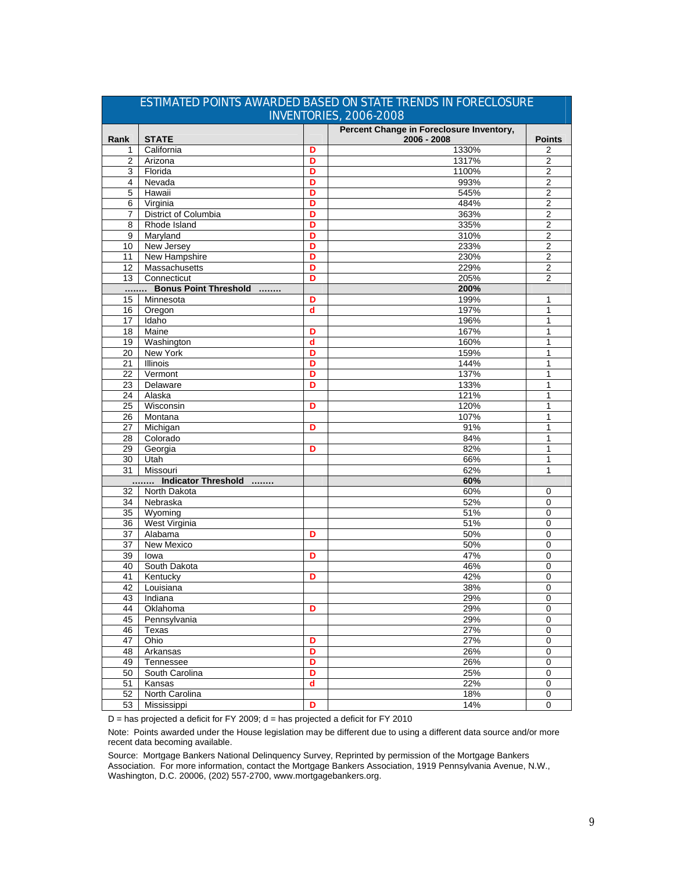| <u>STIMITIED I OINTS ANNANDED DASED ON STATE TRENDS IN FORESESSORE</u><br>INVENTORIES, 2006-2008 |                       |   |                                                         |                  |  |  |  |
|--------------------------------------------------------------------------------------------------|-----------------------|---|---------------------------------------------------------|------------------|--|--|--|
| Rank                                                                                             | <b>STATE</b>          |   | Percent Change in Foreclosure Inventory,<br>2006 - 2008 | <b>Points</b>    |  |  |  |
| 1                                                                                                | California            | D | 1330%                                                   | 2                |  |  |  |
| 2                                                                                                | Arizona               | D | 1317%                                                   | 2                |  |  |  |
| 3                                                                                                | Florida               | D | 1100%                                                   | $\overline{2}$   |  |  |  |
| $\overline{4}$                                                                                   | Nevada                | D | 993%                                                    | $\overline{2}$   |  |  |  |
| 5                                                                                                | Hawaii                | D | 545%                                                    | $\overline{c}$   |  |  |  |
| 6                                                                                                | Virginia              | D | 484%                                                    | $\overline{2}$   |  |  |  |
| 7                                                                                                | District of Columbia  | D | 363%                                                    | $\overline{2}$   |  |  |  |
| 8                                                                                                | Rhode Island          | D | 335%                                                    | $\boldsymbol{2}$ |  |  |  |
| 9                                                                                                | Maryland              | D | 310%                                                    | $\overline{c}$   |  |  |  |
| 10                                                                                               | New Jersey            | D | 233%                                                    | $\overline{2}$   |  |  |  |
| 11                                                                                               | New Hampshire         | D | 230%                                                    | $\overline{2}$   |  |  |  |
| $\overline{12}$                                                                                  | Massachusetts         | D | 229%                                                    | $\overline{2}$   |  |  |  |
| 13                                                                                               | Connecticut           | D | 205%                                                    | $\overline{2}$   |  |  |  |
|                                                                                                  | Bonus Point Threshold |   | 200%                                                    |                  |  |  |  |
| 15                                                                                               | Minnesota             | D | 199%                                                    | 1                |  |  |  |
| 16                                                                                               | Oregon                | d | 197%                                                    | 1                |  |  |  |
| 17                                                                                               | Idaho                 |   | 196%                                                    | 1                |  |  |  |
| 18                                                                                               | Maine                 | D | 167%                                                    | 1                |  |  |  |
| 19                                                                                               | Washington            | d | 160%                                                    | 1                |  |  |  |
| 20                                                                                               | <b>New York</b>       | D | 159%                                                    | 1                |  |  |  |
| 21                                                                                               | Illinois              | D | 144%                                                    | 1                |  |  |  |
| 22                                                                                               | Vermont               | D | 137%                                                    | 1                |  |  |  |
| 23                                                                                               | Delaware              | D | 133%                                                    | 1                |  |  |  |
| 24                                                                                               | Alaska                |   | 121%                                                    | 1                |  |  |  |
| 25                                                                                               | Wisconsin             | D | 120%                                                    | 1                |  |  |  |
| 26                                                                                               | Montana               |   | 107%                                                    | 1                |  |  |  |
| 27                                                                                               | Michigan              | D | 91%                                                     | 1                |  |  |  |
| $\overline{28}$                                                                                  | Colorado              |   | 84%                                                     | 1                |  |  |  |
| 29                                                                                               | Georgia               | D | 82%                                                     | 1                |  |  |  |
| 30                                                                                               | Utah                  |   | 66%                                                     | 1                |  |  |  |
| 31                                                                                               | Missouri              |   | 62%                                                     | 1                |  |  |  |
|                                                                                                  | Indicator Threshold   |   | 60%                                                     |                  |  |  |  |
| 32                                                                                               | North Dakota          |   | 60%                                                     | 0                |  |  |  |
| 34                                                                                               | Nebraska              |   | 52%                                                     | 0                |  |  |  |
| 35                                                                                               | Wyoming               |   | 51%                                                     | 0                |  |  |  |
| 36                                                                                               | West Virginia         |   | 51%                                                     | 0                |  |  |  |
| 37                                                                                               | Alabama               | D | 50%                                                     | 0                |  |  |  |
| 37                                                                                               | New Mexico            |   | 50%                                                     | $\overline{0}$   |  |  |  |
| 39                                                                                               | lowa                  | D | 47%                                                     | 0                |  |  |  |
| 40                                                                                               | South Dakota          |   | 46%                                                     | $\Omega$         |  |  |  |
| 41                                                                                               | Kentucky              | D | 42%                                                     | 0                |  |  |  |
| 42                                                                                               | Louisiana             |   | 38%                                                     | $\mathbf 0$      |  |  |  |
| 43                                                                                               | Indiana               |   | 29%                                                     | $\overline{0}$   |  |  |  |
| 44                                                                                               | Oklahoma              | D | 29%                                                     | 0                |  |  |  |
| 45                                                                                               | Pennsylvania          |   | 29%                                                     | 0                |  |  |  |
| 46                                                                                               | Texas                 |   | 27%                                                     | 0                |  |  |  |
| $\overline{47}$                                                                                  | Ohio                  | D | 27%                                                     | 0                |  |  |  |
| 48                                                                                               | Arkansas              | D | 26%                                                     | 0                |  |  |  |
| 49                                                                                               |                       | D | 26%                                                     | 0                |  |  |  |
| 50                                                                                               | Tennessee             | D |                                                         | 0                |  |  |  |
|                                                                                                  | South Carolina        | d | 25%                                                     | $\pmb{0}$        |  |  |  |
| 51                                                                                               | Kansas                |   | 22%                                                     |                  |  |  |  |
| 52                                                                                               | North Carolina        |   | 18%                                                     | 0                |  |  |  |
| 53                                                                                               | Mississippi           | D | 14%                                                     | 0                |  |  |  |

# ESTIMATED POINTS AWARDED BASED ON STATE TRENDS IN FORECLOSURE

D = has projected a deficit for FY 2009; d = has projected a deficit for FY 2010

Note: Points awarded under the House legislation may be different due to using a different data source and/or more recent data becoming available.

Source: Mortgage Bankers National Delinquency Survey, Reprinted by permission of the Mortgage Bankers Association. For more information, contact the Mortgage Bankers Association, 1919 Pennsylvania Avenue, N.W., Washington, D.C. 20006, (202) 557-2700, www.mortgagebankers.org.